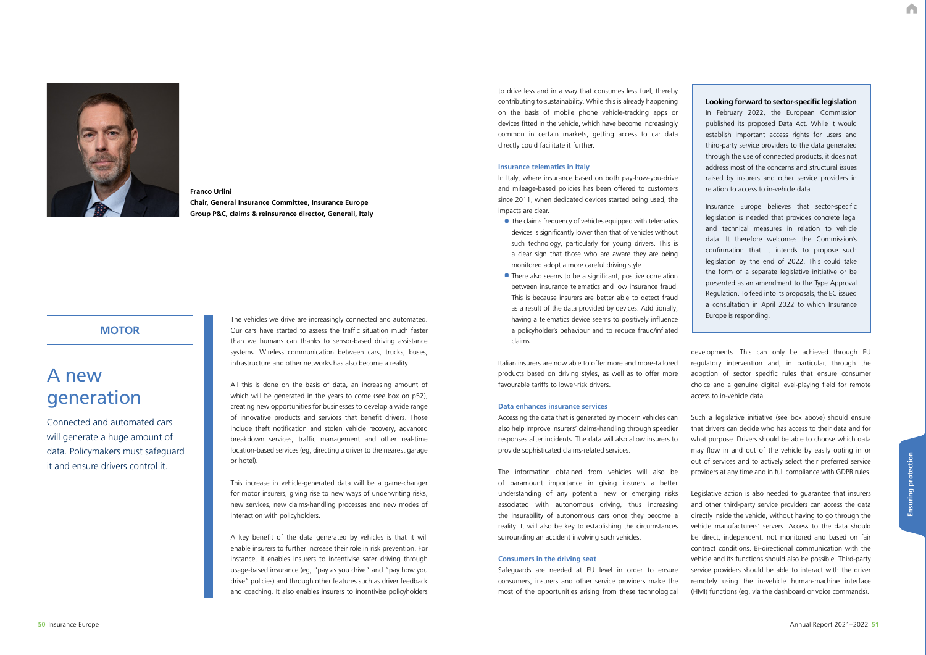A

**50** Insurance Europe

# A new generation

Connected and automated cars will generate a huge amount of data. Policymakers must safeguard it and ensure drivers control it.

## **MOTOR**

The vehicles we drive are increasingly connected and automated. Our cars have started to assess the traffic situation much faster than we humans can thanks to sensor-based driving assistance systems. Wireless communication between cars, trucks, buses, infrastructure and other networks has also become a reality.

All this is done on the basis of data, an increasing amount of which will be generated in the years to come (see box on p52), creating new opportunities for businesses to develop a wide range of innovative products and services that benefit drivers. Those include theft notification and stolen vehicle recovery, advanced breakdown services, traffic management and other real-time location-based services (eg, directing a driver to the nearest garage or hotel).

This increase in vehicle-generated data will be a game-changer for motor insurers, giving rise to new ways of underwriting risks, new services, new claims-handling processes and new modes of interaction with policyholders.

A key benefit of the data generated by vehicles is that it will enable insurers to further increase their role in risk prevention. For instance, it enables insurers to incentivise safer driving through usage-based insurance (eg, "pay as you drive" and "pay how you drive" policies) and through other features such as driver feedback and coaching. It also enables insurers to incentivise policyholders

- The claims frequency of vehicles equipped with telematics devices is significantly lower than that of vehicles without such technology, particularly for young drivers. This is a clear sign that those who are aware they are being monitored adopt a more careful driving style.
- There also seems to be a significant, positive correlation between insurance telematics and low insurance fraud. This is because insurers are better able to detect fraud as a result of the data provided by devices. Additionally, having a telematics device seems to positively influence a policyholder's behaviour and to reduce fraud/inflated claims.



### **Franco Urlini Chair, General Insurance Committee, Insurance Europe Group P&C, claims & reinsurance director, Generali, Italy**

to drive less and in a way that consumes less fuel, thereby contributing to sustainability. While this is already happening on the basis of mobile phone vehicle-tracking apps or devices fitted in the vehicle, which have become increasingly common in certain markets, getting access to car data directly could facilitate it further.

#### **Insurance telematics in Italy**

In Italy, where insurance based on both pay-how-you-drive and mileage-based policies has been offered to customers since 2011, when dedicated devices started being used, the impacts are clear.

favourable tariffs to lower-risk drivers.

#### **Data enhances insurance services**

Accessing the data that is generated by modern vehicles can also help improve insurers' claims-handling through speedier responses after incidents. The data will also allow insurers to provide sophisticated claims-related services.

The information obtained from vehicles will also be of paramount importance in giving insurers a better understanding of any potential new or emerging risks associated with autonomous driving, thus increasing the insurability of autonomous cars once they become a reality. It will also be key to establishing the circumstances surrounding an accident involving such vehicles.

Italian insurers are now able to offer more and more-tailored products based on driving styles, as well as to offer more developments. This can only be achieved through EU regulatory intervention and, in particular, through the adoption of sector specific rules that ensure consumer choice and a genuine digital level-playing field for remote access to in-vehicle data.

#### **Consumers in the driving seat**

Safeguards are needed at EU level in order to ensure consumers, insurers and other service providers make the most of the opportunities arising from these technological

Such a legislative initiative (see box above) should ensure

that drivers can decide who has access to their data and for what purpose. Drivers should be able to choose which data may flow in and out of the vehicle by easily opting in or out of services and to actively select their preferred service providers at any time and in full compliance with GDPR rules. Legislative action is also needed to guarantee that insurers and other third-party service providers can access the data directly inside the vehicle, without having to go through the vehicle manufacturers' servers. Access to the data should be direct, independent, not monitored and based on fair contract conditions. Bi-directional communication with the vehicle and its functions should also be possible. Third-party service providers should be able to interact with the driver remotely using the in-vehicle human-machine interface (HMI) functions (eg, via the dashboard or voice commands).

- **Looking forward to sector-specific legislation** In February 2022, the European Commission published its proposed Data Act. While it would establish important access rights for users and third-party service providers to the data generated through the use of connected products, it does not address most of the concerns and structural issues raised by insurers and other service providers in relation to access to in-vehicle data.
- Insurance Europe believes that sector-specific legislation is needed that provides concrete legal and technical measures in relation to vehicle data. It therefore welcomes the Commission's confirmation that it intends to propose such legislation by the end of 2022. This could take the form of a separate legislative initiative or be presented as an amendment to the Type Approval Regulation. To feed into its proposals, the EC issued a consultation in April 2022 to which Insurance Europe is responding.